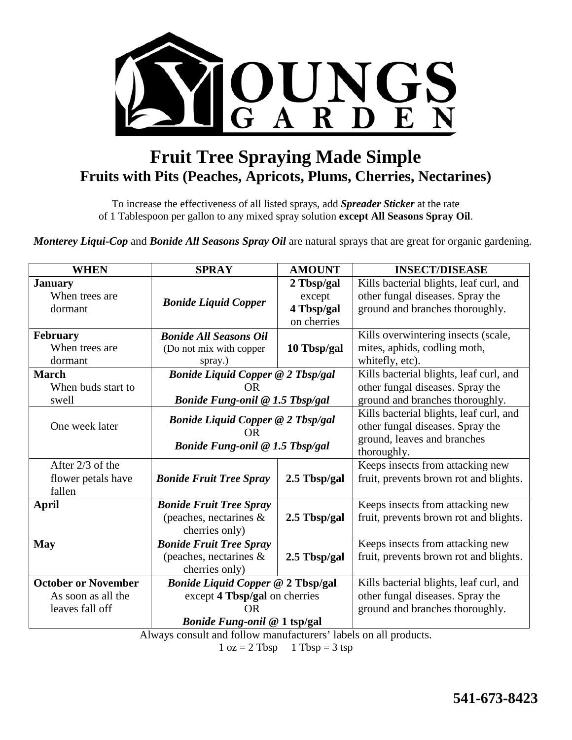

## **Fruit Tree Spraying Made Simple Fruits with Pits (Peaches, Apricots, Plums, Cherries, Nectarines)**

To increase the effectiveness of all listed sprays, add *Spreader Sticker* at the rate of 1 Tablespoon per gallon to any mixed spray solution **except All Seasons Spray Oil**.

*Monterey Liqui-Cop* and *Bonide All Seasons Spray Oil* are natural sprays that are great for organic gardening.

| <b>WHEN</b>                                                         | <b>SPRAY</b>                                                                                                           | <b>AMOUNT</b>                                     | <b>INSECT/DISEASE</b>                                                                                                     |
|---------------------------------------------------------------------|------------------------------------------------------------------------------------------------------------------------|---------------------------------------------------|---------------------------------------------------------------------------------------------------------------------------|
| <b>January</b><br>When trees are<br>dormant                         | <b>Bonide Liquid Copper</b>                                                                                            | 2 Tbsp/gal<br>except<br>4 Tbsp/gal<br>on cherries | Kills bacterial blights, leaf curl, and<br>other fungal diseases. Spray the<br>ground and branches thoroughly.            |
| February<br>When trees are<br>dormant                               | <b>Bonide All Seasons Oil</b><br>(Do not mix with copper<br>spray.)                                                    | 10 Tbsp/gal                                       | Kills overwintering insects (scale,<br>mites, aphids, codling moth,<br>whitefly, etc).                                    |
| <b>March</b><br>When buds start to<br>swell                         | <b>Bonide Liquid Copper @ 2 Tbsp/gal</b><br>OR<br><b>Bonide Fung-onil @ 1.5 Tbsp/gal</b>                               |                                                   | Kills bacterial blights, leaf curl, and<br>other fungal diseases. Spray the<br>ground and branches thoroughly.            |
| One week later                                                      | <b>Bonide Liquid Copper @ 2 Tbsp/gal</b><br>OR<br><b>Bonide Fung-onil @ 1.5 Tbsp/gal</b>                               |                                                   | Kills bacterial blights, leaf curl, and<br>other fungal diseases. Spray the<br>ground, leaves and branches<br>thoroughly. |
| After $2/3$ of the<br>flower petals have<br>fallen                  | <b>Bonide Fruit Tree Spray</b>                                                                                         | 2.5 Tbsp/gal                                      | Keeps insects from attacking new<br>fruit, prevents brown rot and blights.                                                |
| April                                                               | <b>Bonide Fruit Tree Spray</b><br>(peaches, nectarines $\&$<br>cherries only)                                          | 2.5 Tbsp/gal                                      | Keeps insects from attacking new<br>fruit, prevents brown rot and blights.                                                |
| <b>May</b>                                                          | <b>Bonide Fruit Tree Spray</b><br>(peaches, nectarines $\&$<br>cherries only)                                          | 2.5 Tbsp/gal                                      | Keeps insects from attacking new<br>fruit, prevents brown rot and blights.                                                |
| <b>October or November</b><br>As soon as all the<br>leaves fall off | <b>Bonide Liquid Copper @ 2 Tbsp/gal</b><br>except 4 Tbsp/gal on cherries<br><b>OR</b><br>Bonide Fung-onil @ 1 tsp/gal |                                                   | Kills bacterial blights, leaf curl, and<br>other fungal diseases. Spray the<br>ground and branches thoroughly.            |

Always consult and follow manufacturers' labels on all products.

 $1 oz = 2 Tbsp 1 Tbsp = 3 tsp$